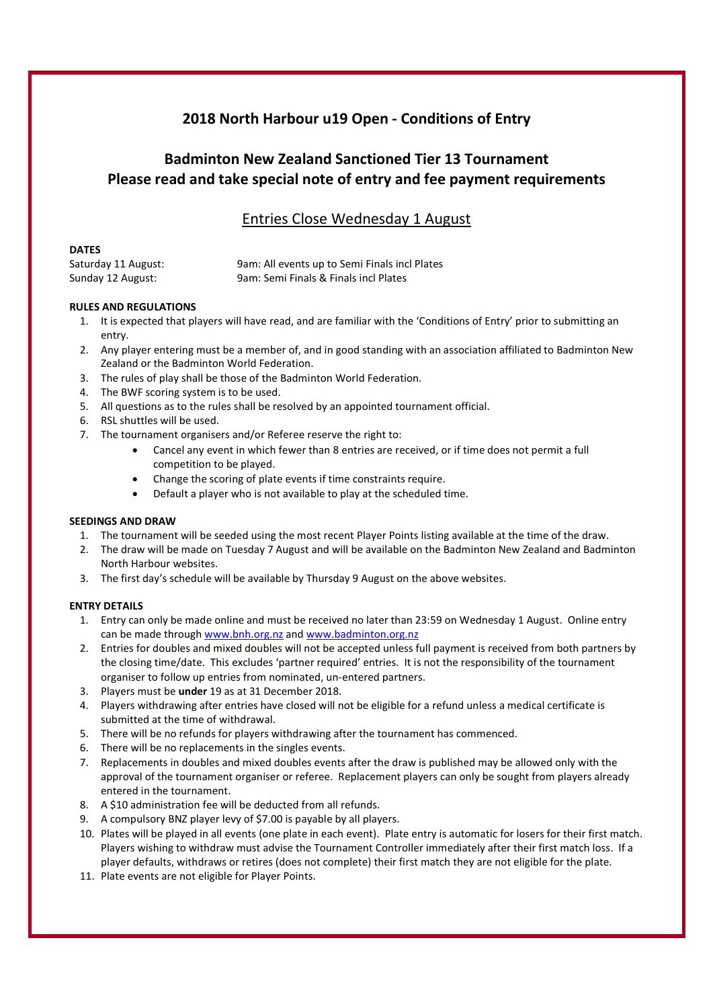# 2018 North Harbour u19 Open - Conditions of Entry

# Badminton New Zealand Sanctioned Tier 13 Tournament Please read and take special note of entry and fee payment requirements

## Entries Close Wednesday 1 August

| ۰, |
|----|
|----|

| Saturday 11 August: | 9am: All events up to Semi Finals incl Plates |
|---------------------|-----------------------------------------------|
| Sunday 12 August:   | 9am: Semi Finals & Finals incl Plates         |

### RULES AND REGULATIONS

- 1. It is expected that players will have read, and are familiar with the 'Conditions of Entry' prior to submitting an entry.
- 2. Any player entering must be a member of, and in good standing with an association affiliated to Badminton New Zealand or the Badminton World Federation.
- 3. The rules of play shall be those of the Badminton World Federation.
- 4. The BWF scoring system is to be used.
- 5. All questions as to the rules shall be resolved by an appointed tournament official.
- 6. RSL shuttles will be used.
- 7. The tournament organisers and/or Referee reserve the right to:
	- Cancel any event in which fewer than 8 entries are received, or if time does not permit a full competition to be played.
	- Change the scoring of plate events if time constraints require.
	- Default a player who is not available to play at the scheduled time.

#### SEEDINGS AND DRAW

- 1. The tournament will be seeded using the most recent Player Points listing available at the time of the draw.
- 2. The draw will be made on Tuesday 7 August and will be available on the Badminton New Zealand and Badminton North Harbour websites.
- 3. The first day's schedule will be available by Thursday 9 August on the above websites.

### ENTRY DETAILS

- 1. Entry can only be made online and must be received no later than 23:59 on Wednesday 1 August. Online entry can be made through www.bnh.org.nz and www.badminton.org.nz
- 2. Entries for doubles and mixed doubles will not be accepted unless full payment is received from both partners by the closing time/date. This excludes 'partner required' entries. It is not the responsibility of the tournament organiser to follow up entries from nominated, un-entered partners.
- 3. Players must be under 19 as at 31 December 2018.
- 4. Players withdrawing after entries have closed will not be eligible for a refund unless a medical certificate is submitted at the time of withdrawal.
- 5. There will be no refunds for players withdrawing after the tournament has commenced.
- 6. There will be no replacements in the singles events.
- 7. Replacements in doubles and mixed doubles events after the draw is published may be allowed only with the approval of the tournament organiser or referee. Replacement players can only be sought from players already entered in the tournament.
- 8. A \$10 administration fee will be deducted from all refunds.
- 9. A compulsory BNZ player levy of \$7.00 is payable by all players.
- 10. Plates will be played in all events (one plate in each event). Plate entry is automatic for losers for their first match. Players wishing to withdraw must advise the Tournament Controller immediately after their first match loss. If a player defaults, withdraws or retires (does not complete) their first match they are not eligible for the plate.
- 11. Plate events are not eligible for Player Points.